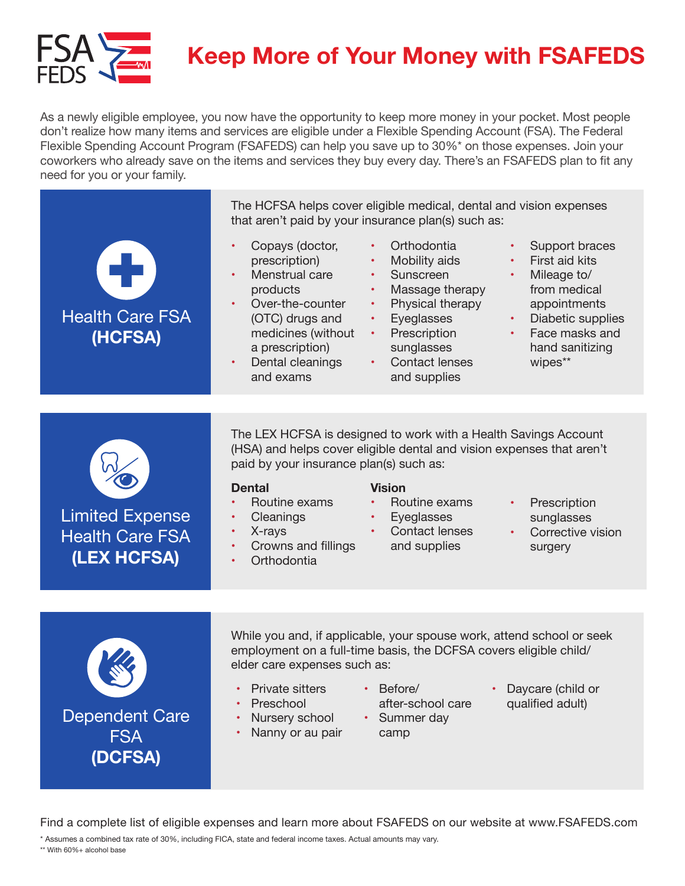

# **Keep More of Your Money with FSAFEDS**

As a newly eligible employee, you now have the opportunity to keep more money in your pocket. Most people don't realize how many items and services are eligible under a Flexible Spending Account (FSA). The Federal Flexible Spending Account Program (FSAFEDS) can help you save up to 30%\* on those expenses. Join your coworkers who already save on the items and services they buy every day. There's an FSAFEDS plan to fit any need for you or your family.

|                                                                 | The HCFSA helps cover eligible medical, dental and vision expenses<br>that aren't paid by your insurance plan(s) such as:                                                                                                                                                                                                                                                                                                                                                                                                                    |
|-----------------------------------------------------------------|----------------------------------------------------------------------------------------------------------------------------------------------------------------------------------------------------------------------------------------------------------------------------------------------------------------------------------------------------------------------------------------------------------------------------------------------------------------------------------------------------------------------------------------------|
| <b>Health Care FSA</b><br>(HCFSA)                               | Orthodontia<br>Copays (doctor,<br>Support braces<br>First aid kits<br>prescription)<br>Mobility aids<br>Menstrual care<br>Sunscreen<br>Mileage to/<br>products<br>Massage therapy<br>from medical<br>Over-the-counter<br>Physical therapy<br>appointments<br>$\bullet$<br>Eyeglasses<br>(OTC) drugs and<br>Diabetic supplies<br>Face masks and<br>medicines (without<br>Prescription<br>$\bullet$ .<br>a prescription)<br>sunglasses<br>hand sanitizing<br><b>Contact lenses</b><br>wipes**<br>Dental cleanings<br>and exams<br>and supplies |
|                                                                 |                                                                                                                                                                                                                                                                                                                                                                                                                                                                                                                                              |
| <b>Limited Expense</b><br><b>Health Care FSA</b><br>(LEX HCFSA) | The LEX HCFSA is designed to work with a Health Savings Account<br>(HSA) and helps cover eligible dental and vision expenses that aren't<br>paid by your insurance plan(s) such as:<br><b>Dental</b><br><b>Vision</b><br>Routine exams<br>Routine exams<br>Prescription<br>Cleanings<br>Eyeglasses<br>sunglasses<br>X-rays<br>Contact lenses<br>Corrective vision<br>Crowns and fillings<br>$\bullet$<br>and supplies<br>surgery<br>Orthodontia                                                                                              |
|                                                                 |                                                                                                                                                                                                                                                                                                                                                                                                                                                                                                                                              |
|                                                                 | While you and, if applicable, your spouse work, attend school or seek<br>employment on a full-time basis, the DCFSA covers eligible child/<br>elder care expenses such as:                                                                                                                                                                                                                                                                                                                                                                   |
|                                                                 | <b>Private sitters</b><br>$\cdot$ Before/<br>Daycare (child or<br>after-school care<br>Preschool<br>qualified adult)                                                                                                                                                                                                                                                                                                                                                                                                                         |
| <b>Dependent Care</b><br><b>FSA</b>                             | • Summer day<br>Nursery school<br>Nanny or au pair<br>camp                                                                                                                                                                                                                                                                                                                                                                                                                                                                                   |
| (DCFSA)                                                         |                                                                                                                                                                                                                                                                                                                                                                                                                                                                                                                                              |
|                                                                 |                                                                                                                                                                                                                                                                                                                                                                                                                                                                                                                                              |

Find a complete list of eligible expenses and learn more about FSAFEDS on our website at [www.FSAFEDS.com](https://www.fsafeds.com) 

\* Assumes a combined tax rate of 30%, including FICA, state and federal income taxes. Actual amounts may vary.

\*\* With 60%+ alcohol base